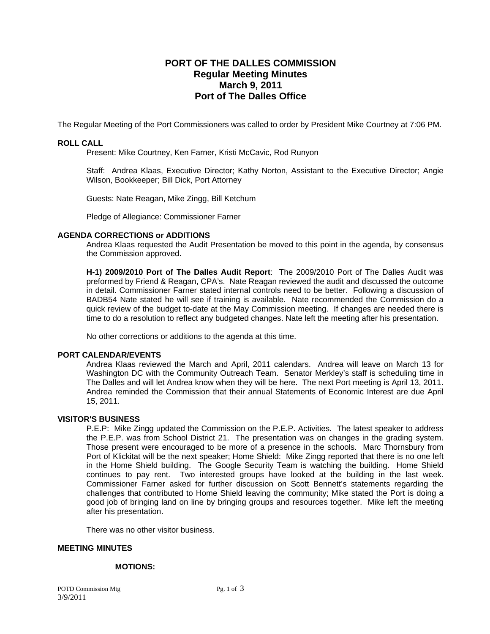# **PORT OF THE DALLES COMMISSION Regular Meeting Minutes March 9, 2011 Port of The Dalles Office**

The Regular Meeting of the Port Commissioners was called to order by President Mike Courtney at 7:06 PM.

### **ROLL CALL**

Present: Mike Courtney, Ken Farner, Kristi McCavic, Rod Runyon

Staff: Andrea Klaas, Executive Director; Kathy Norton, Assistant to the Executive Director; Angie Wilson, Bookkeeper; Bill Dick, Port Attorney

Guests: Nate Reagan, Mike Zingg, Bill Ketchum

Pledge of Allegiance: Commissioner Farner

#### **AGENDA CORRECTIONS or ADDITIONS**

Andrea Klaas requested the Audit Presentation be moved to this point in the agenda, by consensus the Commission approved.

**H-1) 2009/2010 Port of The Dalles Audit Report**: The 2009/2010 Port of The Dalles Audit was preformed by Friend & Reagan, CPA's. Nate Reagan reviewed the audit and discussed the outcome in detail. Commissioner Farner stated internal controls need to be better. Following a discussion of BADB54 Nate stated he will see if training is available. Nate recommended the Commission do a quick review of the budget to-date at the May Commission meeting. If changes are needed there is time to do a resolution to reflect any budgeted changes. Nate left the meeting after his presentation.

No other corrections or additions to the agenda at this time.

#### **PORT CALENDAR/EVENTS**

Andrea Klaas reviewed the March and April, 2011 calendars. Andrea will leave on March 13 for Washington DC with the Community Outreach Team. Senator Merkley's staff is scheduling time in The Dalles and will let Andrea know when they will be here. The next Port meeting is April 13, 2011. Andrea reminded the Commission that their annual Statements of Economic Interest are due April 15, 2011.

#### **VISITOR'S BUSINESS**

P.E.P: Mike Zingg updated the Commission on the P.E.P. Activities. The latest speaker to address the P.E.P. was from School District 21. The presentation was on changes in the grading system. Those present were encouraged to be more of a presence in the schools. Marc Thornsbury from Port of Klickitat will be the next speaker; Home Shield: Mike Zingg reported that there is no one left in the Home Shield building. The Google Security Team is watching the building. Home Shield continues to pay rent. Two interested groups have looked at the building in the last week. Commissioner Farner asked for further discussion on Scott Bennett's statements regarding the challenges that contributed to Home Shield leaving the community; Mike stated the Port is doing a good job of bringing land on line by bringing groups and resources together. Mike left the meeting after his presentation.

There was no other visitor business.

# **MEETING MINUTES**

#### **MOTIONS:**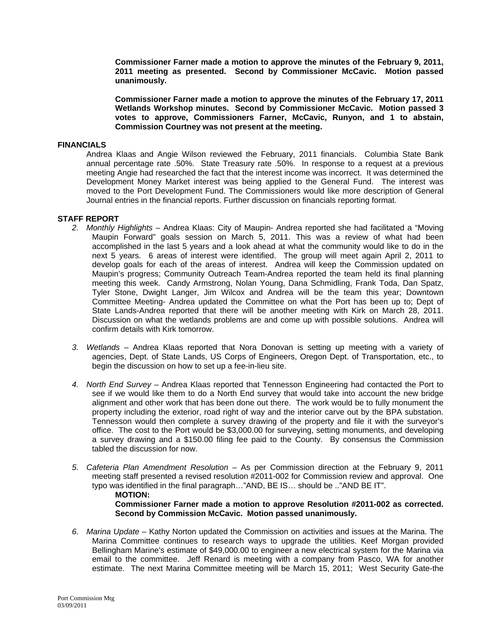**Commissioner Farner made a motion to approve the minutes of the February 9, 2011, 2011 meeting as presented. Second by Commissioner McCavic. Motion passed unanimously.** 

**Commissioner Farner made a motion to approve the minutes of the February 17, 2011 Wetlands Workshop minutes. Second by Commissioner McCavic. Motion passed 3 votes to approve, Commissioners Farner, McCavic, Runyon, and 1 to abstain, Commission Courtney was not present at the meeting.** 

# **FINANCIALS**

Andrea Klaas and Angie Wilson reviewed the February, 2011 financials. Columbia State Bank annual percentage rate .50%. State Treasury rate .50%. In response to a request at a previous meeting Angie had researched the fact that the interest income was incorrect. It was determined the Development Money Market interest was being applied to the General Fund. The interest was moved to the Port Development Fund. The Commissioners would like more description of General Journal entries in the financial reports. Further discussion on financials reporting format.

## **STAFF REPORT**

- *2. Monthly Highlights* Andrea Klaas: City of Maupin- Andrea reported she had facilitated a "Moving Maupin Forward" goals session on March 5, 2011. This was a review of what had been accomplished in the last 5 years and a look ahead at what the community would like to do in the next 5 years. 6 areas of interest were identified. The group will meet again April 2, 2011 to develop goals for each of the areas of interest. Andrea will keep the Commission updated on Maupin's progress; Community Outreach Team-Andrea reported the team held its final planning meeting this week. Candy Armstrong, Nolan Young, Dana Schmidling, Frank Toda, Dan Spatz, Tyler Stone, Dwight Langer, Jim Wilcox and Andrea will be the team this year; Downtown Committee Meeting- Andrea updated the Committee on what the Port has been up to; Dept of State Lands-Andrea reported that there will be another meeting with Kirk on March 28, 2011. Discussion on what the wetlands problems are and come up with possible solutions. Andrea will confirm details with Kirk tomorrow.
- *3. Wetlands* Andrea Klaas reported that Nora Donovan is setting up meeting with a variety of agencies, Dept. of State Lands, US Corps of Engineers, Oregon Dept. of Transportation, etc., to begin the discussion on how to set up a fee-in-lieu site.
- *4. North End Survey* Andrea Klaas reported that Tennesson Engineering had contacted the Port to see if we would like them to do a North End survey that would take into account the new bridge alignment and other work that has been done out there. The work would be to fully monument the property including the exterior, road right of way and the interior carve out by the BPA substation. Tennesson would then complete a survey drawing of the property and file it with the surveyor's office. The cost to the Port would be \$3,000.00 for surveying, setting monuments, and developing a survey drawing and a \$150.00 filing fee paid to the County. By consensus the Commission tabled the discussion for now.
- *5. Cafeteria Plan Amendment Resolution* As per Commission direction at the February 9, 2011 meeting staff presented a revised resolution #2011-002 for Commission review and approval. One typo was identified in the final paragraph…"AND, BE IS… should be .."AND BE IT". **MOTION: Commissioner Farner made a motion to approve Resolution #2011-002 as corrected. Second by Commission McCavic. Motion passed unanimously.**
- *6. Marina Update* Kathy Norton updated the Commission on activities and issues at the Marina. The Marina Committee continues to research ways to upgrade the utilities. Keef Morgan provided Bellingham Marine's estimate of \$49,000.00 to engineer a new electrical system for the Marina via email to the committee. Jeff Renard is meeting with a company from Pasco, WA for another estimate. The next Marina Committee meeting will be March 15, 2011; West Security Gate-the